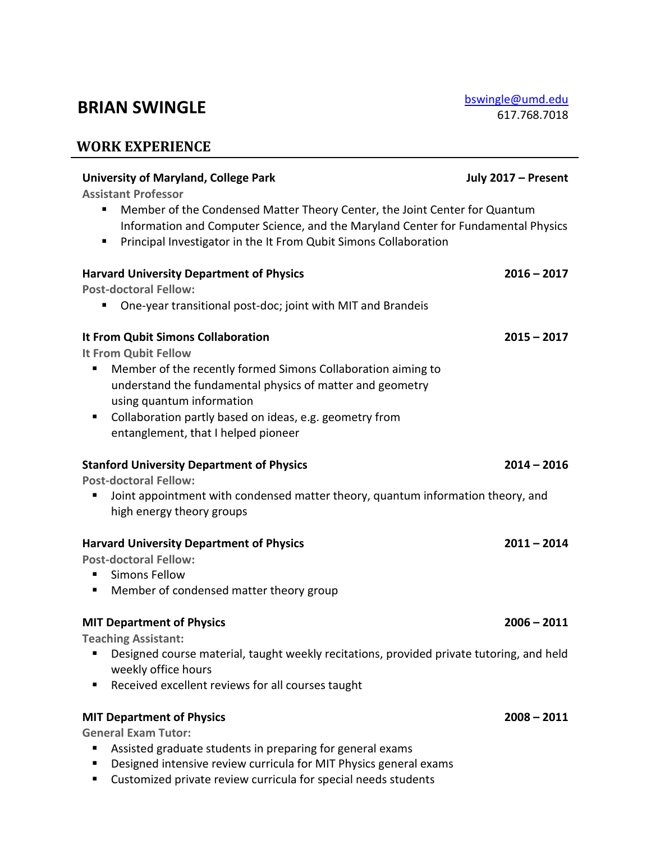## **BRIAN SWINGLE** [bswingle@umd.edu](mailto:bswingle@umd.edu)

**WORK EXPERIENCE**

## **University of Maryland, College Park July 2017 – Present Assistant Professor** ■ Member of the Condensed Matter Theory Center, the Joint Center for Quantum Information and Computer Science, and the Maryland Center for Fundamental Physics ■ Principal Investigator in the It From Qubit Simons Collaboration **Harvard University Department of Physics 2016 – 2017 Post-doctoral Fellow:** ■ One-year transitional post-doc; joint with MIT and Brandeis **It From Qubit Simons Collaboration 2015 – 2017 It From Qubit Fellow** Member of the recently formed Simons Collaboration aiming to understand the fundamental physics of matter and geometry using quantum information ■ Collaboration partly based on ideas, e.g. geometry from entanglement, that I helped pioneer **Stanford University Department of Physics 2014 – 2016 Post-doctoral Fellow:** ■ Joint appointment with condensed matter theory, quantum information theory, and high energy theory groups **Harvard University Department of Physics 2011 – 2014 Post-doctoral Fellow:** ■ Simons Fellow Member of condensed matter theory group **MIT Department of Physics 2006 – 2011 Teaching Assistant:** ■ Designed course material, taught weekly recitations, provided private tutoring, and held weekly office hours ■ Received excellent reviews for all courses taught **MIT Department of Physics 2008 – 2011 General Exam Tutor:** ■ Assisted graduate students in preparing for general exams

- Designed intensive review curricula for MIT Physics general exams
- Customized private review curricula for special needs students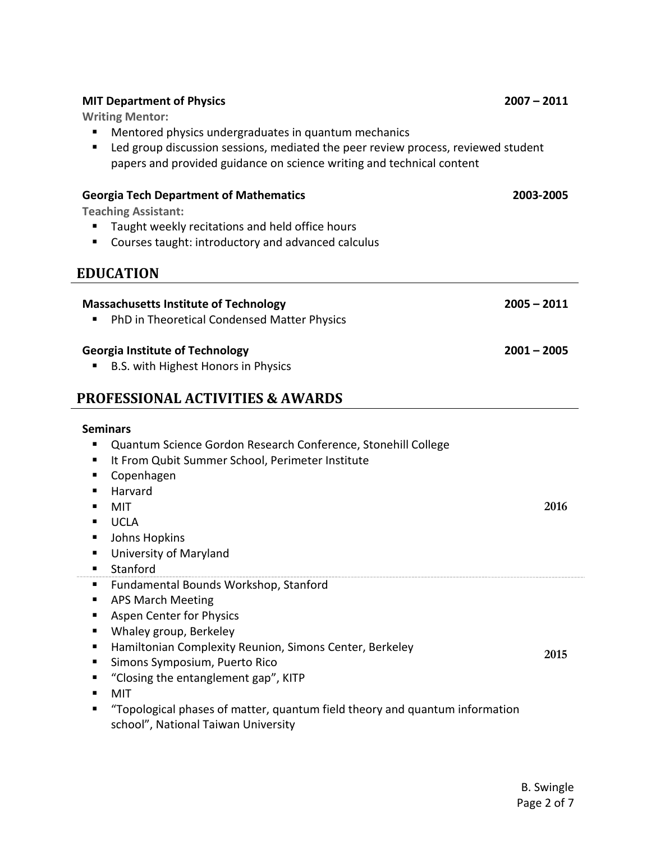| <b>MIT Department of Physics</b>                                                                                                                                                                                                                                                                                                                                    | $2007 - 2011$ |  |  |  |
|---------------------------------------------------------------------------------------------------------------------------------------------------------------------------------------------------------------------------------------------------------------------------------------------------------------------------------------------------------------------|---------------|--|--|--|
| <b>Writing Mentor:</b><br>Mentored physics undergraduates in quantum mechanics<br>Led group discussion sessions, mediated the peer review process, reviewed student<br>papers and provided guidance on science writing and technical content                                                                                                                        |               |  |  |  |
| <b>Georgia Tech Department of Mathematics</b><br><b>Teaching Assistant:</b><br>Taught weekly recitations and held office hours<br>Courses taught: introductory and advanced calculus                                                                                                                                                                                | 2003-2005     |  |  |  |
| <b>EDUCATION</b>                                                                                                                                                                                                                                                                                                                                                    |               |  |  |  |
| <b>Massachusetts Institute of Technology</b><br>PhD in Theoretical Condensed Matter Physics                                                                                                                                                                                                                                                                         | $2005 - 2011$ |  |  |  |
| <b>Georgia Institute of Technology</b><br>B.S. with Highest Honors in Physics                                                                                                                                                                                                                                                                                       | $2001 - 2005$ |  |  |  |
| <b>PROFESSIONAL ACTIVITIES &amp; AWARDS</b>                                                                                                                                                                                                                                                                                                                         |               |  |  |  |
| <b>Seminars</b><br>Quantum Science Gordon Research Conference, Stonehill College<br>It From Qubit Summer School, Perimeter Institute<br>п<br>Copenhagen<br>п<br>Harvard<br>MIT<br><b>UCLA</b><br>Johns Hopkins<br>University of Maryland<br>п<br>Stanford<br>Fundamental Bounds Workshop, Stanford<br>ш                                                             | 2016          |  |  |  |
| <b>APS March Meeting</b><br>п<br>Aspen Center for Physics<br>п<br>Whaley group, Berkeley<br>п<br>Hamiltonian Complexity Reunion, Simons Center, Berkeley<br>Simons Symposium, Puerto Rico<br>п<br>"Closing the entanglement gap", KITP<br>MIT<br>"Topological phases of matter, quantum field theory and quantum information<br>school", National Taiwan University | 2015          |  |  |  |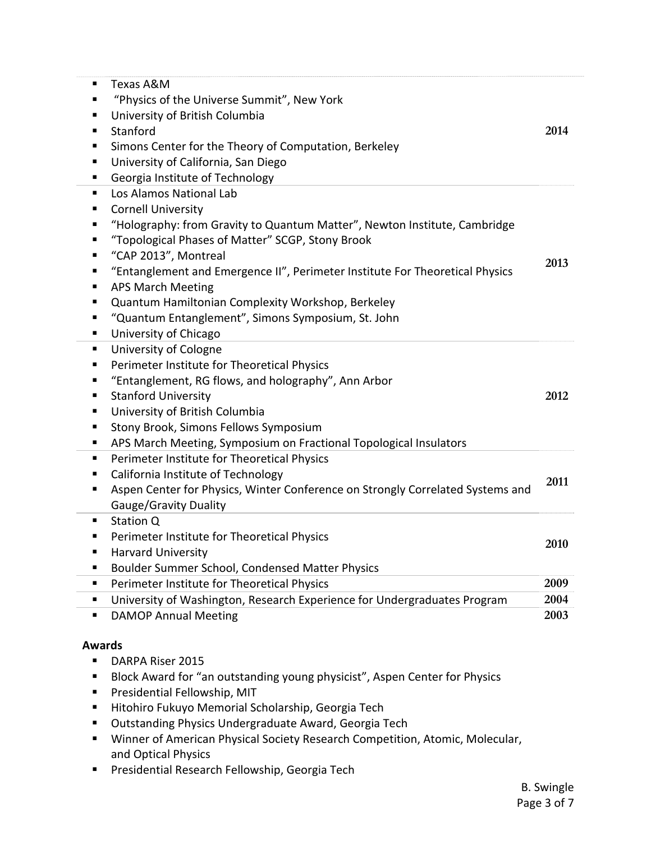| п<br>٠<br>٠<br>٠<br>٠<br>п                          | Texas A&M<br>"Physics of the Universe Summit", New York<br>University of British Columbia<br>Stanford<br>Simons Center for the Theory of Computation, Berkeley<br>University of California, San Diego                                                                                                                                                                                                                                                                                            | 2014 |
|-----------------------------------------------------|--------------------------------------------------------------------------------------------------------------------------------------------------------------------------------------------------------------------------------------------------------------------------------------------------------------------------------------------------------------------------------------------------------------------------------------------------------------------------------------------------|------|
| п<br>п<br>٠<br>п<br>п<br>п<br>п<br>п<br>п<br>п<br>п | Georgia Institute of Technology<br>Los Alamos National Lab<br><b>Cornell University</b><br>"Holography: from Gravity to Quantum Matter", Newton Institute, Cambridge<br>"Topological Phases of Matter" SCGP, Stony Brook<br>"CAP 2013", Montreal<br>"Entanglement and Emergence II", Perimeter Institute For Theoretical Physics<br><b>APS March Meeting</b><br>Quantum Hamiltonian Complexity Workshop, Berkeley<br>"Quantum Entanglement", Simons Symposium, St. John<br>University of Chicago | 2013 |
| п<br>ш<br>п<br>п<br>п<br>п<br>п                     | University of Cologne<br>Perimeter Institute for Theoretical Physics<br>"Entanglement, RG flows, and holography", Ann Arbor<br><b>Stanford University</b><br>University of British Columbia<br>Stony Brook, Simons Fellows Symposium<br>APS March Meeting, Symposium on Fractional Topological Insulators                                                                                                                                                                                        | 2012 |
| п<br>п<br>п                                         | Perimeter Institute for Theoretical Physics<br>California Institute of Technology<br>Aspen Center for Physics, Winter Conference on Strongly Correlated Systems and<br>Gauge/Gravity Duality                                                                                                                                                                                                                                                                                                     | 2011 |
| п<br>п<br>п                                         | Station Q<br>Perimeter Institute for Theoretical Physics<br><b>Harvard University</b><br>Boulder Summer School, Condensed Matter Physics                                                                                                                                                                                                                                                                                                                                                         | 2010 |
| п                                                   | Perimeter Institute for Theoretical Physics                                                                                                                                                                                                                                                                                                                                                                                                                                                      | 2009 |
| ٠                                                   | University of Washington, Research Experience for Undergraduates Program                                                                                                                                                                                                                                                                                                                                                                                                                         | 2004 |
| ٠                                                   | <b>DAMOP Annual Meeting</b>                                                                                                                                                                                                                                                                                                                                                                                                                                                                      | 2003 |
| <b>Awards</b>                                       |                                                                                                                                                                                                                                                                                                                                                                                                                                                                                                  |      |

- DARPA Riser 2015
- Block Award for "an outstanding young physicist", Aspen Center for Physics
- Presidential Fellowship, MIT
- Hitohiro Fukuyo Memorial Scholarship, Georgia Tech
- Outstanding Physics Undergraduate Award, Georgia Tech
- Winner of American Physical Society Research Competition, Atomic, Molecular, and Optical Physics
- Presidential Research Fellowship, Georgia Tech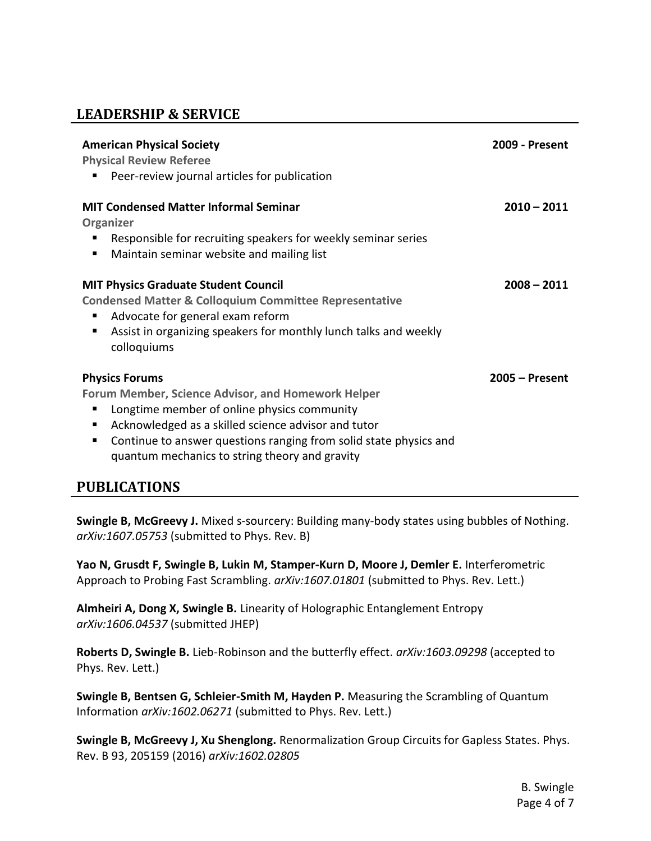## **LEADERSHIP & SERVICE**

| <b>American Physical Society</b><br><b>Physical Review Referee</b><br>Peer-review journal articles for publication                                                                                                                                                                                              | <b>2009 - Present</b> |
|-----------------------------------------------------------------------------------------------------------------------------------------------------------------------------------------------------------------------------------------------------------------------------------------------------------------|-----------------------|
| <b>MIT Condensed Matter Informal Seminar</b><br>Organizer<br>Responsible for recruiting speakers for weekly seminar series<br>Maintain seminar website and mailing list                                                                                                                                         | $2010 - 2011$         |
| <b>MIT Physics Graduate Student Council</b><br><b>Condensed Matter &amp; Colloquium Committee Representative</b><br>Advocate for general exam reform<br>Assist in organizing speakers for monthly lunch talks and weekly<br>ш<br>colloquiums                                                                    | $2008 - 2011$         |
| <b>Physics Forums</b><br><b>Forum Member, Science Advisor, and Homework Helper</b><br>Longtime member of online physics community<br>Acknowledged as a skilled science advisor and tutor<br>Continue to answer questions ranging from solid state physics and<br>quantum mechanics to string theory and gravity | $2005 -$ Present      |

## **PUBLICATIONS**

**Swingle B, McGreevy J.** Mixed s-sourcery: Building many-body states using bubbles of Nothing. *arXiv:1607.05753* (submitted to Phys. Rev. B)

**Yao N, Grusdt F, Swingle B, Lukin M, Stamper-Kurn D, Moore J, Demler E.** Interferometric Approach to Probing Fast Scrambling. *arXiv:1607.01801* (submitted to Phys. Rev. Lett.)

**Almheiri A, Dong X, Swingle B.** Linearity of Holographic Entanglement Entropy *arXiv:1606.04537* (submitted JHEP)

**Roberts D, Swingle B.** Lieb-Robinson and the butterfly effect. *arXiv:1603.09298* (accepted to Phys. Rev. Lett.)

**Swingle B, Bentsen G, Schleier-Smith M, Hayden P.** Measuring the Scrambling of Quantum Information *arXiv:1602.06271* (submitted to Phys. Rev. Lett.)

**Swingle B, McGreevy J, Xu Shenglong.** Renormalization Group Circuits for Gapless States. Phys. Rev. B 93, 205159 (2016) *arXiv:1602.02805*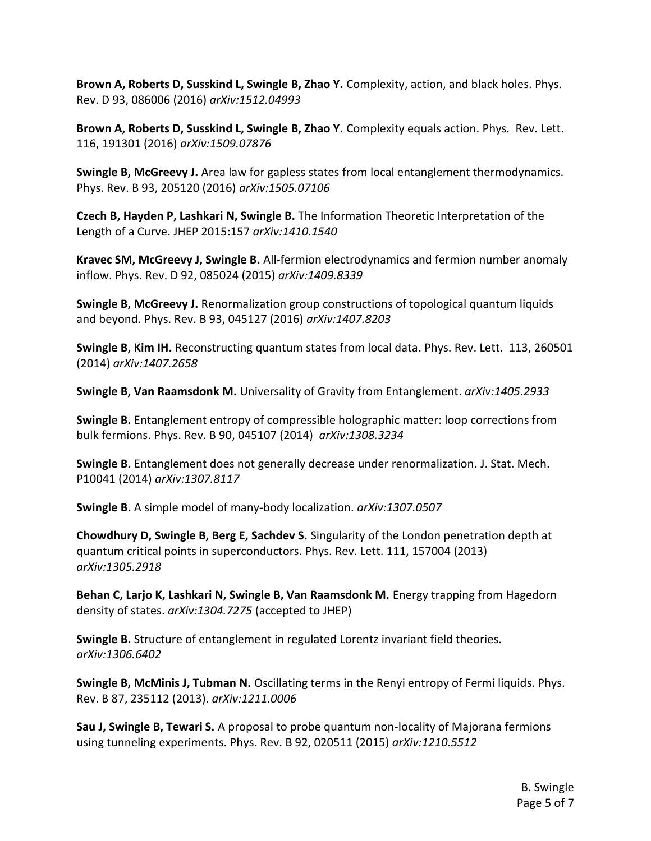**Brown A, Roberts D, Susskind L, Swingle B, Zhao Y.** Complexity, action, and black holes. Phys. Rev. D 93, 086006 (2016) *arXiv:1512.04993*

**Brown A, Roberts D, Susskind L, Swingle B, Zhao Y.** Complexity equals action. Phys. Rev. Lett. 116, 191301 (2016) *arXiv:1509.07876*

**Swingle B, McGreevy J.** Area law for gapless states from local entanglement thermodynamics. Phys. Rev. B 93, 205120 (2016) *arXiv:1505.07106*

**Czech B, Hayden P, Lashkari N, Swingle B.** The Information Theoretic Interpretation of the Length of a Curve. JHEP 2015:157 *arXiv:1410.1540*

**Kravec SM, McGreevy J, Swingle B.** All-fermion electrodynamics and fermion number anomaly inflow. Phys. Rev. D 92, 085024 (2015) *arXiv:1409.8339*

**Swingle B, McGreevy J.** Renormalization group constructions of topological quantum liquids and beyond. Phys. Rev. B 93, 045127 (2016) *arXiv:1407.8203*

**Swingle B, Kim IH.** Reconstructing quantum states from local data. Phys. Rev. Lett. 113, 260501 (2014) *arXiv:1407.2658*

**Swingle B, Van Raamsdonk M.** Universality of Gravity from Entanglement. *arXiv:1405.2933*

**Swingle B.** Entanglement entropy of compressible holographic matter: loop corrections from bulk fermions. Phys. Rev. B 90, 045107 (2014) *arXiv:1308.3234*

**Swingle B.** Entanglement does not generally decrease under renormalization. J. Stat. Mech. P10041 (2014) *arXiv:1307.8117*

**Swingle B.** A simple model of many-body localization. *arXiv:1307.0507*

**Chowdhury D, Swingle B, Berg E, Sachdev S.** Singularity of the London penetration depth at quantum critical points in superconductors. Phys. Rev. Lett. 111, 157004 (2013) *arXiv:1305.2918*

Behan C, Larjo K, Lashkari N, Swingle B, Van Raamsdonk M. Energy trapping from Hagedorn density of states. *arXiv:1304.7275* (accepted to JHEP)

**Swingle B.** Structure of entanglement in regulated Lorentz invariant field theories. *arXiv:1306.6402* 

**Swingle B, McMinis J, Tubman N.** Oscillating terms in the Renyi entropy of Fermi liquids. Phys. Rev. B 87, 235112 (2013). *arXiv:1211.0006*

**Sau J, Swingle B, Tewari S.** A proposal to probe quantum non-locality of Majorana fermions using tunneling experiments. Phys. Rev. B 92, 020511 (2015) *arXiv:1210.5512*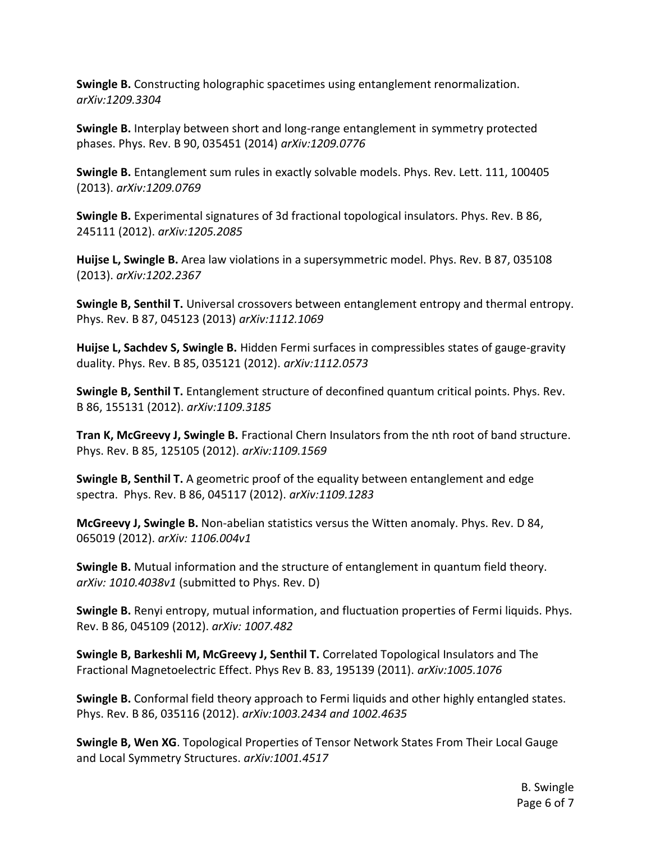**Swingle B.** Constructing holographic spacetimes using entanglement renormalization. *arXiv:1209.3304*

**Swingle B.** Interplay between short and long-range entanglement in symmetry protected phases. Phys. Rev. B 90, 035451 (2014) *arXiv:1209.0776*

**Swingle B.** Entanglement sum rules in exactly solvable models. Phys. Rev. Lett. 111, 100405 (2013). *arXiv:1209.0769*

**Swingle B.** Experimental signatures of 3d fractional topological insulators. Phys. Rev. B 86, 245111 (2012). *arXiv:1205.2085*

**Huijse L, Swingle B.** Area law violations in a supersymmetric model. Phys. Rev. B 87, 035108 (2013). *arXiv:1202.2367*

**Swingle B, Senthil T.** Universal crossovers between entanglement entropy and thermal entropy. Phys. Rev. B 87, 045123 (2013) *arXiv:1112.1069*

**Huijse L, Sachdev S, Swingle B.** Hidden Fermi surfaces in compressibles states of gauge-gravity duality. Phys. Rev. B 85, 035121 (2012). *arXiv:1112.0573*

**Swingle B, Senthil T.** Entanglement structure of deconfined quantum critical points. Phys. Rev. B 86, 155131 (2012). *arXiv:1109.3185*

**Tran K, McGreevy J, Swingle B.** Fractional Chern Insulators from the nth root of band structure. Phys. Rev. B 85, 125105 (2012). *arXiv:1109.1569*

**Swingle B, Senthil T.** A geometric proof of the equality between entanglement and edge spectra. Phys. Rev. B 86, 045117 (2012). *arXiv:1109.1283*

**McGreevy J, Swingle B.** Non-abelian statistics versus the Witten anomaly. Phys. Rev. D 84, 065019 (2012). *arXiv: 1106.004v1*

**Swingle B.** Mutual information and the structure of entanglement in quantum field theory. *arXiv: 1010.4038v1* (submitted to Phys. Rev. D)

**Swingle B.** Renyi entropy, mutual information, and fluctuation properties of Fermi liquids. Phys. Rev. B 86, 045109 (2012). *arXiv: 1007.482*

**Swingle B, Barkeshli M, McGreevy J, Senthil T.** Correlated Topological Insulators and The Fractional Magnetoelectric Effect. Phys Rev B. 83, 195139 (2011). *arXiv:1005.1076*

**Swingle B.** Conformal field theory approach to Fermi liquids and other highly entangled states. Phys. Rev. B 86, 035116 (2012). *arXiv:1003.2434 and 1002.4635*

**Swingle B, Wen XG**. Topological Properties of Tensor Network States From Their Local Gauge and Local Symmetry Structures. *arXiv:1001.4517*